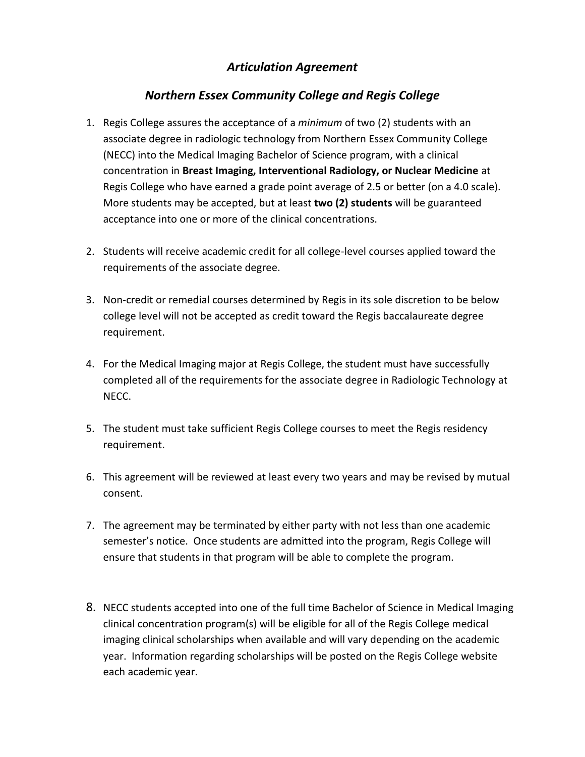### *Articulation Agreement*

### *Northern Essex Community College and Regis College*

- 1. Regis College assures the acceptance of a *minimum* of two (2) students with an associate degree in radiologic technology from Northern Essex Community College (NECC) into the Medical Imaging Bachelor of Science program, with a clinical concentration in **Breast Imaging, Interventional Radiology, or Nuclear Medicine** at Regis College who have earned a grade point average of 2.5 or better (on a 4.0 scale). More students may be accepted, but at least **two (2) students** will be guaranteed acceptance into one or more of the clinical concentrations.
- 2. Students will receive academic credit for all college-level courses applied toward the requirements of the associate degree.
- 3. Non-credit or remedial courses determined by Regis in its sole discretion to be below college level will not be accepted as credit toward the Regis baccalaureate degree requirement.
- 4. For the Medical Imaging major at Regis College, the student must have successfully completed all of the requirements for the associate degree in Radiologic Technology at NECC.
- 5. The student must take sufficient Regis College courses to meet the Regis residency requirement.
- 6. This agreement will be reviewed at least every two years and may be revised by mutual consent.
- 7. The agreement may be terminated by either party with not less than one academic semester's notice. Once students are admitted into the program, Regis College will ensure that students in that program will be able to complete the program.
- 8. NECC students accepted into one of the full time Bachelor of Science in Medical Imaging clinical concentration program(s) will be eligible for all of the Regis College medical imaging clinical scholarships when available and will vary depending on the academic year. Information regarding scholarships will be posted on the Regis College website each academic year.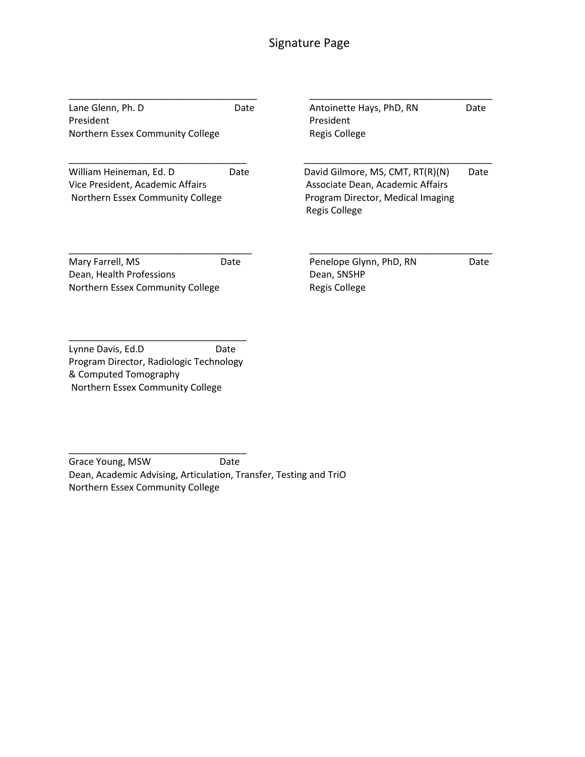# Signature Page

| Lane Glenn, Ph. D<br>President<br>Northern Essex Community College                              | Date | Antoinette Hays, PhD, RN<br>President<br>Regis College                                                                            | Date |
|-------------------------------------------------------------------------------------------------|------|-----------------------------------------------------------------------------------------------------------------------------------|------|
| William Heineman, Ed. D<br>Vice President, Academic Affairs<br>Northern Essex Community College | Date | David Gilmore, MS, CMT, RT(R)(N)<br>Associate Dean, Academic Affairs<br>Program Director, Medical Imaging<br><b>Regis College</b> | Date |
| Mary Farrell, MS<br>Dean, Health Professions<br>Northern Essex Community College                | Date | Penelope Glynn, PhD, RN<br>Dean, SNSHP<br>Regis College                                                                           | Date |

Lynne Davis, Ed.D Date Program Director, Radiologic Technology & Computed Tomography Northern Essex Community College

\_\_\_\_\_\_\_\_\_\_\_\_\_\_\_\_\_\_\_\_\_\_\_\_\_\_\_\_\_\_\_\_\_\_ Grace Young, MSW Date Dean, Academic Advising, Articulation, Transfer, Testing and TriO Northern Essex Community College